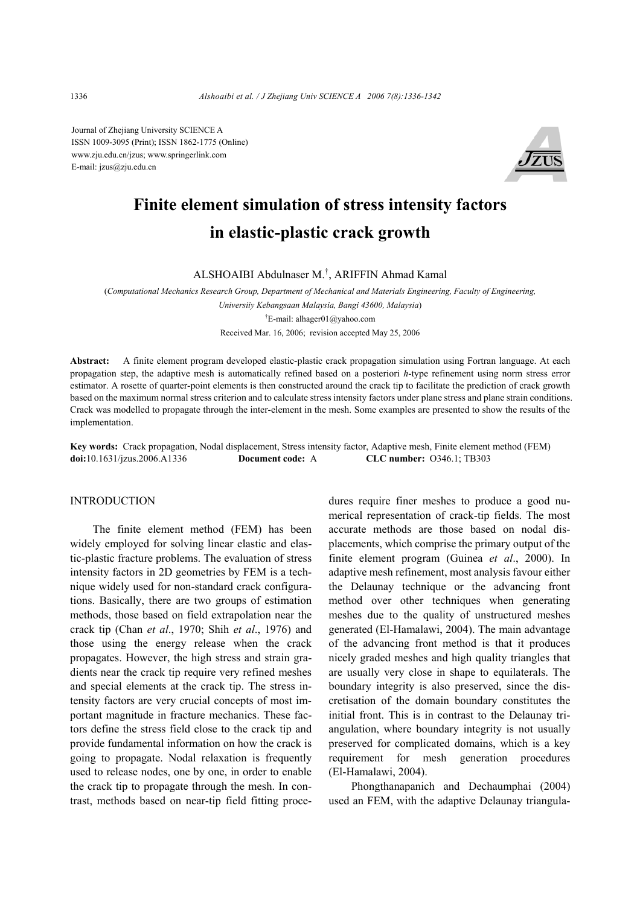Journal of Zhejiang University SCIENCE A ISSN 1009-3095 (Print); ISSN 1862-1775 (Online) www.zju.edu.cn/jzus; www.springerlink.com E-mail: jzus@zju.edu.cn



# **Finite element simulation of stress intensity factors in elastic-plastic crack growth**

ALSHOAIBI Abdulnaser M.† , ARIFFIN Ahmad Kamal

(*Computational Mechanics Research Group, Department of Mechanical and Materials Engineering, Faculty of Engineering,* 

*Universiiy Kebangsaan Malaysia, Bangi 43600, Malaysia*) † E-mail: alhager01@yahoo.com

Received Mar. 16, 2006; revision accepted May 25, 2006

**Abstract:** A finite element program developed elastic-plastic crack propagation simulation using Fortran language. At each propagation step, the adaptive mesh is automatically refined based on a posteriori *h*-type refinement using norm stress error estimator. A rosette of quarter-point elements is then constructed around the crack tip to facilitate the prediction of crack growth based on the maximum normal stress criterion and to calculate stress intensity factors under plane stress and plane strain conditions. Crack was modelled to propagate through the inter-element in the mesh. Some examples are presented to show the results of the implementation.

**Key words:** Crack propagation, Nodal displacement, Stress intensity factor, Adaptive mesh, Finite element method (FEM) **doi:**10.1631/jzus.2006.A1336 **Document code:** A **CLC number:** O346.1; TB303

#### INTRODUCTION

The finite element method (FEM) has been widely employed for solving linear elastic and elastic-plastic fracture problems. The evaluation of stress intensity factors in 2D geometries by FEM is a technique widely used for non-standard crack configurations. Basically, there are two groups of estimation methods, those based on field extrapolation near the crack tip (Chan *et al*., 1970; Shih *et al*., 1976) and those using the energy release when the crack propagates. However, the high stress and strain gradients near the crack tip require very refined meshes and special elements at the crack tip. The stress intensity factors are very crucial concepts of most important magnitude in fracture mechanics. These factors define the stress field close to the crack tip and provide fundamental information on how the crack is going to propagate. Nodal relaxation is frequently used to release nodes, one by one, in order to enable the crack tip to propagate through the mesh. In contrast, methods based on near-tip field fitting procedures require finer meshes to produce a good numerical representation of crack-tip fields. The most accurate methods are those based on nodal displacements, which comprise the primary output of the finite element program (Guinea *et al*., 2000). In adaptive mesh refinement, most analysis favour either the Delaunay technique or the advancing front method over other techniques when generating meshes due to the quality of unstructured meshes generated (El-Hamalawi, 2004). The main advantage of the advancing front method is that it produces nicely graded meshes and high quality triangles that are usually very close in shape to equilaterals. The boundary integrity is also preserved, since the discretisation of the domain boundary constitutes the initial front. This is in contrast to the Delaunay triangulation, where boundary integrity is not usually preserved for complicated domains, which is a key requirement for mesh generation procedures (El-Hamalawi, 2004).

Phongthanapanich and Dechaumphai (2004) used an FEM, with the adaptive Delaunay triangula-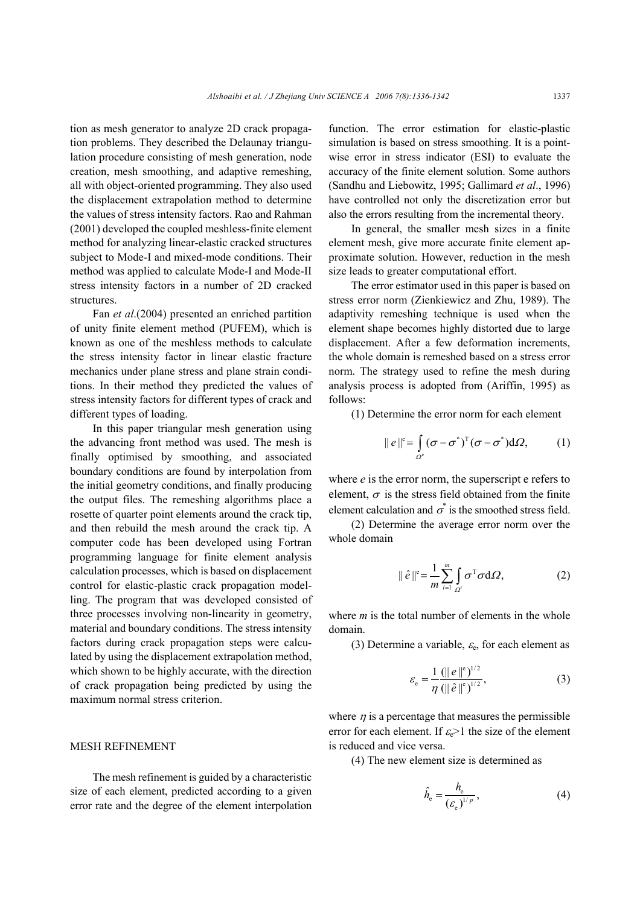tion as mesh generator to analyze 2D crack propagation problems. They described the Delaunay triangulation procedure consisting of mesh generation, node creation, mesh smoothing, and adaptive remeshing, all with object-oriented programming. They also used the displacement extrapolation method to determine the values of stress intensity factors. Rao and Rahman (2001) developed the coupled meshless-finite element method for analyzing linear-elastic cracked structures subject to Mode-I and mixed-mode conditions. Their method was applied to calculate Mode-I and Mode-II stress intensity factors in a number of 2D cracked structures.

Fan *et al*.(2004) presented an enriched partition of unity finite element method (PUFEM), which is known as one of the meshless methods to calculate the stress intensity factor in linear elastic fracture mechanics under plane stress and plane strain conditions. In their method they predicted the values of stress intensity factors for different types of crack and different types of loading.

In this paper triangular mesh generation using the advancing front method was used. The mesh is finally optimised by smoothing, and associated boundary conditions are found by interpolation from the initial geometry conditions, and finally producing the output files. The remeshing algorithms place a rosette of quarter point elements around the crack tip, and then rebuild the mesh around the crack tip. A computer code has been developed using Fortran programming language for finite element analysis calculation processes, which is based on displacement control for elastic-plastic crack propagation modelling. The program that was developed consisted of three processes involving non-linearity in geometry, material and boundary conditions. The stress intensity factors during crack propagation steps were calculated by using the displacement extrapolation method, which shown to be highly accurate, with the direction of crack propagation being predicted by using the maximum normal stress criterion.

### MESH REFINEMENT

The mesh refinement is guided by a characteristic size of each element, predicted according to a given error rate and the degree of the element interpolation function. The error estimation for elastic-plastic simulation is based on stress smoothing. It is a pointwise error in stress indicator (ESI) to evaluate the accuracy of the finite element solution. Some authors (Sandhu and Liebowitz, 1995; Gallimard *et al*., 1996) have controlled not only the discretization error but also the errors resulting from the incremental theory.

In general, the smaller mesh sizes in a finite element mesh, give more accurate finite element approximate solution. However, reduction in the mesh size leads to greater computational effort.

The error estimator used in this paper is based on stress error norm (Zienkiewicz and Zhu, 1989). The adaptivity remeshing technique is used when the element shape becomes highly distorted due to large displacement. After a few deformation increments, the whole domain is remeshed based on a stress error norm. The strategy used to refine the mesh during analysis process is adopted from (Ariffin, 1995) as follows:

(1) Determine the error norm for each element

$$
\|e\|^{\mathfrak{e}} = \int_{\Omega^{\mathfrak{e}}} (\sigma - \sigma^*)^{\mathrm{T}} (\sigma - \sigma^*) d\Omega, \qquad (1)
$$

where *e* is the error norm, the superscript e refers to element,  $\sigma$  is the stress field obtained from the finite element calculation and  $\sigma^*$  is the smoothed stress field.

(2) Determine the average error norm over the whole domain

$$
\|\hat{e}\|^{\mathbf{e}} = \frac{1}{m} \sum_{i=1}^{m} \int_{\Omega^i} \sigma^{\mathrm{T}} \sigma \mathrm{d}\Omega, \tag{2}
$$

where *m* is the total number of elements in the whole domain.

(3) Determine a variable,  $\varepsilon_e$ , for each element as

$$
\varepsilon_{\rm e} = \frac{1}{\eta} \frac{(\|\,e\,\|^{\rm e}\,)^{1/2}}{(\|\,\hat{e}\,\|^{\rm e}\,)^{1/2}},\tag{3}
$$

where  $\eta$  is a percentage that measures the permissible error for each element. If  $\varepsilon_e > 1$  the size of the element is reduced and vice versa.

(4) The new element size is determined as

$$
\hat{h}_{\rm e} = \frac{h_{\rm e}}{\left(\varepsilon_{\rm e}\right)^{1/p}},\tag{4}
$$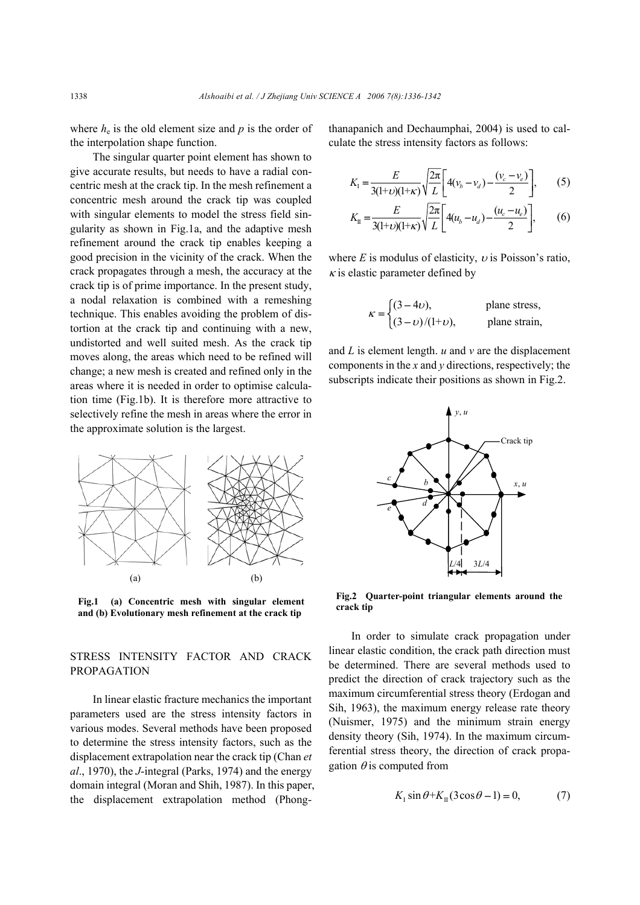where  $h_e$  is the old element size and  $p$  is the order of the interpolation shape function.

The singular quarter point element has shown to give accurate results, but needs to have a radial concentric mesh at the crack tip. In the mesh refinement a concentric mesh around the crack tip was coupled with singular elements to model the stress field singularity as shown in Fig.1a, and the adaptive mesh refinement around the crack tip enables keeping a good precision in the vicinity of the crack. When the crack propagates through a mesh, the accuracy at the crack tip is of prime importance. In the present study, a nodal relaxation is combined with a remeshing technique. This enables avoiding the problem of distortion at the crack tip and continuing with a new, undistorted and well suited mesh. As the crack tip moves along, the areas which need to be refined will change; a new mesh is created and refined only in the areas where it is needed in order to optimise calculation time (Fig.1b). It is therefore more attractive to selectively refine the mesh in areas where the error in the approximate solution is the largest.



**Fig.1 (a) Concentric mesh with singular element and (b) Evolutionary mesh refinement at the crack tip**

## STRESS INTENSITY FACTOR AND CRACK PROPAGATION

In linear elastic fracture mechanics the important parameters used are the stress intensity factors in various modes. Several methods have been proposed to determine the stress intensity factors, such as the displacement extrapolation near the crack tip (Chan *et al*., 1970), the *J*-integral (Parks, 1974) and the energy domain integral (Moran and Shih, 1987). In this paper, the displacement extrapolation method (Phongthanapanich and Dechaumphai, 2004) is used to calculate the stress intensity factors as follows:

$$
K_{1} = \frac{E}{3(1+\nu)(1+\kappa)} \sqrt{\frac{2\pi}{L}} \left[ 4(v_b - v_d) - \frac{(v_c - v_e)}{2} \right],
$$
 (5)

$$
K_{\rm II} = \frac{E}{3(1+\nu)(1+\kappa)} \sqrt{\frac{2\pi}{L}} \left[ 4(u_b - u_d) - \frac{(u_c - u_e)}{2} \right],\tag{6}
$$

where  $E$  is modulus of elasticity,  $v$  is Poisson's ratio,  $\kappa$  is elastic parameter defined by

$$
\kappa = \begin{cases}\n(3-4\nu), & \text{plane stress,} \\
(3-\nu)/(1+\nu), & \text{plane strain,} \n\end{cases}
$$

and *L* is element length. *u* and *v* are the displacement components in the *x* and *y* directions, respectively; the subscripts indicate their positions as shown in Fig.2.



**Fig.2 Quarter-point triangular elements around the crack tip** 

In order to simulate crack propagation under linear elastic condition, the crack path direction must be determined. There are several methods used to predict the direction of crack trajectory such as the maximum circumferential stress theory (Erdogan and Sih, 1963), the maximum energy release rate theory (Nuismer, 1975) and the minimum strain energy density theory (Sih, 1974). In the maximum circumferential stress theory, the direction of crack propagation  $\theta$  is computed from

$$
K_{\rm I} \sin \theta + K_{\rm II} (3 \cos \theta - 1) = 0, \tag{7}
$$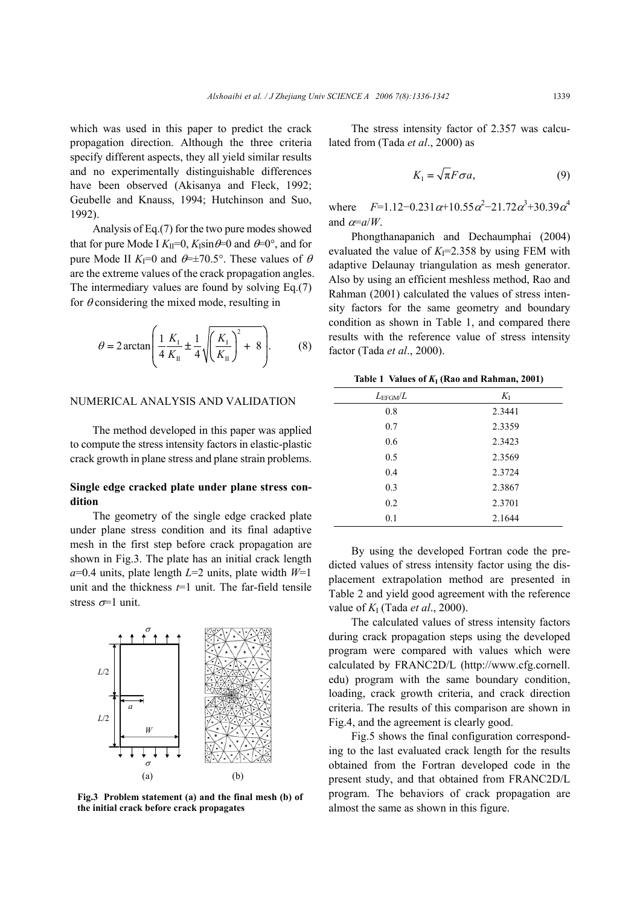which was used in this paper to predict the crack propagation direction. Although the three criteria specify different aspects, they all yield similar results and no experimentally distinguishable differences have been observed (Akisanya and Fleck, 1992; Geubelle and Knauss, 1994; Hutchinson and Suo, 1992).

Analysis of Eq.(7) for the two pure modes showed that for pure Mode I  $K_{II} = 0$ ,  $K_{I} \sin \theta = 0$  and  $\theta = 0^{\circ}$ , and for pure Mode II  $K_{\text{I}}=0$  and  $\theta = \pm 70.5^{\circ}$ . These values of  $\theta$ are the extreme values of the crack propagation angles. The intermediary values are found by solving Eq.(7) for  $\theta$  considering the mixed mode, resulting in

$$
\theta = 2\arctan\left(\frac{1}{4}\frac{K_{\rm I}}{K_{\rm II}} \pm \frac{1}{4}\sqrt{\left(\frac{K_{\rm I}}{K_{\rm II}}\right)^2 + 8}\right). \tag{8}
$$

#### NUMERICAL ANALYSIS AND VALIDATION

The method developed in this paper was applied to compute the stress intensity factors in elastic-plastic crack growth in plane stress and plane strain problems.

## **Single edge cracked plate under plane stress condition**

The geometry of the single edge cracked plate under plane stress condition and its final adaptive mesh in the first step before crack propagation are shown in Fig.3. The plate has an initial crack length *a*=0.4 units, plate length *L*=2 units, plate width *W*=1 unit and the thickness  $t=1$  unit. The far-field tensile stress  $\sigma$ =1 unit.



**Fig.3 Problem statement (a) and the final mesh (b) of the initial crack before crack propagates** 

The stress intensity factor of 2.357 was calculated from (Tada *et al*., 2000) as

$$
K_{I} = \sqrt{\pi} F \sigma a, \qquad (9)
$$

where  $F=1.12-0.231 \alpha+10.55 \alpha^2-21.72 \alpha^3+30.39 \alpha^4$ and  $\alpha = a/W$ .

Phongthanapanich and Dechaumphai (2004) evaluated the value of  $K<sub>I</sub>=2.358$  by using FEM with adaptive Delaunay triangulation as mesh generator. Also by using an efficient meshless method, Rao and Rahman (2001) calculated the values of stress intensity factors for the same geometry and boundary condition as shown in Table 1, and compared there results with the reference value of stress intensity factor (Tada *et al*., 2000).

|  |  |  | Table 1 Values of $K_I$ (Rao and Rahman, 2001) |  |
|--|--|--|------------------------------------------------|--|
|--|--|--|------------------------------------------------|--|

| $L_{\rm EFGM}/L$ | $K_I$  |
|------------------|--------|
| 0.8              | 2.3441 |
| 0.7              | 2.3359 |
| 0.6              | 2.3423 |
| 0.5              | 2.3569 |
| 0.4              | 2.3724 |
| 0.3              | 2.3867 |
| 0.2              | 2.3701 |
| 0.1              | 2.1644 |

By using the developed Fortran code the predicted values of stress intensity factor using the displacement extrapolation method are presented in Table 2 and yield good agreement with the reference value of *K*I (Tada *et al*., 2000).

The calculated values of stress intensity factors during crack propagation steps using the developed program were compared with values which were calculated by FRANC2D/L (http://www.cfg.cornell. edu) program with the same boundary condition, loading, crack growth criteria, and crack direction criteria. The results of this comparison are shown in Fig.4, and the agreement is clearly good.

Fig.5 shows the final configuration corresponding to the last evaluated crack length for the results obtained from the Fortran developed code in the present study, and that obtained from FRANC2D/L program. The behaviors of crack propagation are almost the same as shown in this figure.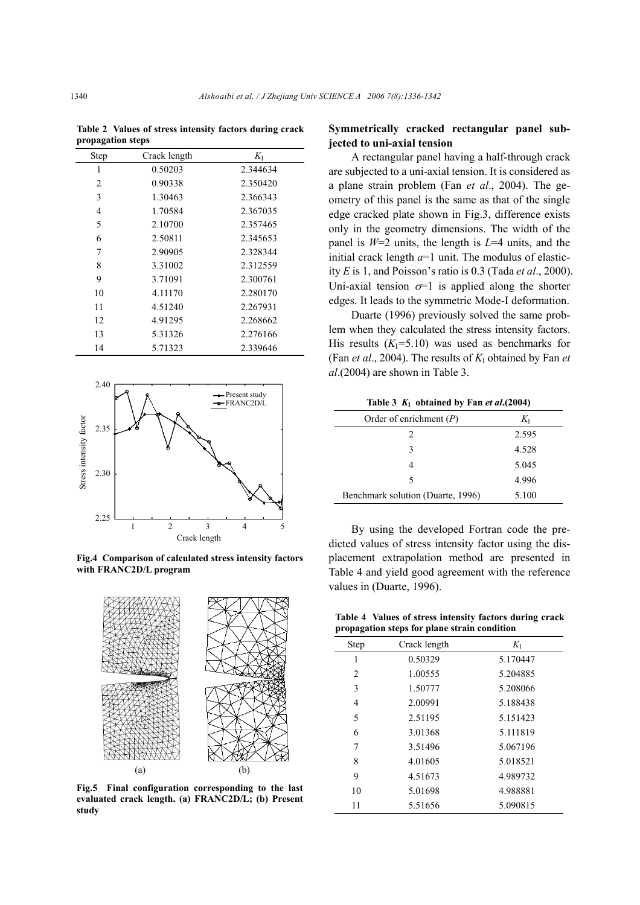**Table 2 Values of stress intensity factors during crack propagation steps** 

| <b>Step</b> | Crack length | $K_{I}$  |
|-------------|--------------|----------|
| 1           | 0.50203      | 2.344634 |
| 2           | 0.90338      | 2.350420 |
| 3           | 1.30463      | 2.366343 |
| 4           | 1.70584      | 2.367035 |
| 5           | 2.10700      | 2.357465 |
| 6           | 2.50811      | 2.345653 |
| 7           | 2.90905      | 2.328344 |
| 8           | 3.31002      | 2.312559 |
| 9           | 3.71091      | 2.300761 |
| 10          | 4.11170      | 2.280170 |
| 11          | 4.51240      | 2.267931 |
| 12          | 4.91295      | 2.268662 |
| 13          | 5.31326      | 2.276166 |
| 14          | 5.71323      | 2.339646 |



**Fig.4 Comparison of calculated stress intensity factors with FRANC2D/L program** 



**Fig.5 Final configuration corresponding to the last evaluated crack length. (a) FRANC2D/L; (b) Present study** 

# **Symmetrically cracked rectangular panel subjected to uni-axial tension**

A rectangular panel having a half-through crack are subjected to a uni-axial tension. It is considered as a plane strain problem (Fan *et al*., 2004). The geometry of this panel is the same as that of the single edge cracked plate shown in Fig.3, difference exists only in the geometry dimensions. The width of the panel is *W*=2 units, the length is *L*=4 units, and the initial crack length  $a=1$  unit. The modulus of elasticity *E* is 1, and Poisson's ratio is 0.3 (Tada *et al*., 2000). Uni-axial tension  $\sigma$ =1 is applied along the shorter edges. It leads to the symmetric Mode-I deformation.

Duarte (1996) previously solved the same problem when they calculated the stress intensity factors. His results  $(K<sub>I</sub>=5.10)$  was used as benchmarks for (Fan *et al.*, 2004). The results of  $K_I$  obtained by Fan *et al*.(2004) are shown in Table 3.

Table 3  $K_I$  obtained by Fan *et al***.**(2004)

| Order of enrichment $(P)$         | Kτ    |
|-----------------------------------|-------|
| 2                                 | 2.595 |
| 3                                 | 4.528 |
|                                   | 5.045 |
| 5                                 | 4.996 |
| Benchmark solution (Duarte, 1996) | 5.100 |

By using the developed Fortran code the predicted values of stress intensity factor using the displacement extrapolation method are presented in Table 4 and yield good agreement with the reference values in (Duarte, 1996).

**Table 4 Values of stress intensity factors during crack propagation steps for plane strain condition** 

| -              |              |          |  |
|----------------|--------------|----------|--|
| Step           | Crack length | $K_{I}$  |  |
| 1              | 0.50329      | 5.170447 |  |
| $\overline{2}$ | 1.00555      | 5.204885 |  |
| 3              | 1.50777      | 5.208066 |  |
| 4              | 2.00991      | 5.188438 |  |
| 5              | 2.51195      | 5.151423 |  |
| 6              | 3.01368      | 5.111819 |  |
| 7              | 3.51496      | 5.067196 |  |
| 8              | 4.01605      | 5.018521 |  |
| 9              | 4.51673      | 4.989732 |  |
| 10             | 5.01698      | 4.988881 |  |
| 11             | 5.51656      | 5.090815 |  |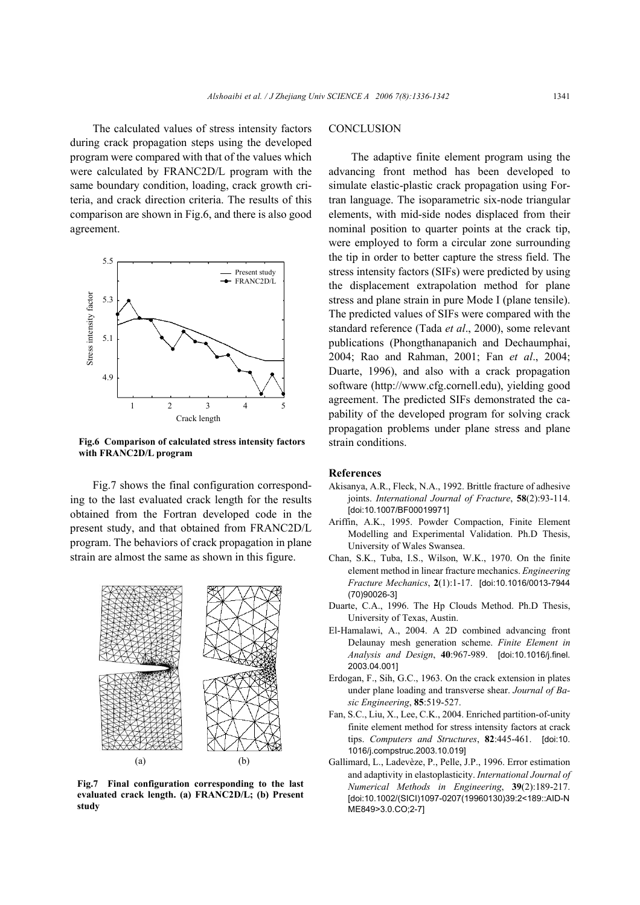The calculated values of stress intensity factors during crack propagation steps using the developed program were compared with that of the values which were calculated by FRANC2D/L program with the same boundary condition, loading, crack growth criteria, and crack direction criteria. The results of this comparison are shown in Fig.6, and there is also good agreement.



**Fig.6 Comparison of calculated stress intensity factors with FRANC2D/L program** 

Fig.7 shows the final configuration corresponding to the last evaluated crack length for the results obtained from the Fortran developed code in the present study, and that obtained from FRANC2D/L program. The behaviors of crack propagation in plane strain are almost the same as shown in this figure.



**Fig.7 Final configuration corresponding to the last evaluated crack length. (a) FRANC2D/L; (b) Present study** 

# **CONCLUSION**

The adaptive finite element program using the advancing front method has been developed to simulate elastic-plastic crack propagation using Fortran language. The isoparametric six-node triangular elements, with mid-side nodes displaced from their nominal position to quarter points at the crack tip, were employed to form a circular zone surrounding the tip in order to better capture the stress field. The stress intensity factors (SIFs) were predicted by using the displacement extrapolation method for plane stress and plane strain in pure Mode I (plane tensile). The predicted values of SIFs were compared with the standard reference (Tada *et al*., 2000), some relevant publications (Phongthanapanich and Dechaumphai, 2004; Rao and Rahman, 2001; Fan *et al*., 2004; Duarte, 1996), and also with a crack propagation software (http://www.cfg.cornell.edu), yielding good agreement. The predicted SIFs demonstrated the capability of the developed program for solving crack propagation problems under plane stress and plane strain conditions.

#### **References**

- Akisanya, A.R., Fleck, N.A., 1992. Brittle fracture of adhesive joints. *International Journal of Fracture*, **58**(2):93-114. [doi:10.1007/BF00019971]
- Ariffin, A.K., 1995. Powder Compaction, Finite Element Modelling and Experimental Validation. Ph.D Thesis, University of Wales Swansea.
- Chan, S.K., Tuba, I.S., Wilson, W.K., 1970. On the finite element method in linear fracture mechanics. *Engineering Fracture Mechanics*, **2**(1):1-17. [doi:10.1016/0013-7944 (70)90026-3]
- Duarte, C.A., 1996. The Hp Clouds Method. Ph.D Thesis, University of Texas, Austin.
- El-Hamalawi, A., 2004. A 2D combined advancing front Delaunay mesh generation scheme. *Finite Element in Analysis and Design*, **40**:967-989. [doi:10.1016/j.finel. 2003.04.001]
- Erdogan, F., Sih, G.C., 1963. On the crack extension in plates under plane loading and transverse shear. *Journal of Basic Engineering*, **85**:519-527.
- Fan, S.C., Liu, X., Lee, C.K., 2004. Enriched partition-of-unity finite element method for stress intensity factors at crack tips. *Computers and Structures*, **82**:445-461. [doi:10. 1016/j.compstruc.2003.10.019]
- Gallimard, L., Ladevèze, P., Pelle, J.P., 1996. Error estimation and adaptivity in elastoplasticity. *International Journal of Numerical Methods in Engineering*, **39**(2):189-217. [doi:10.1002/(SICI)1097-0207(19960130)39:2<189::AID-N ME849>3.0.CO;2-7]